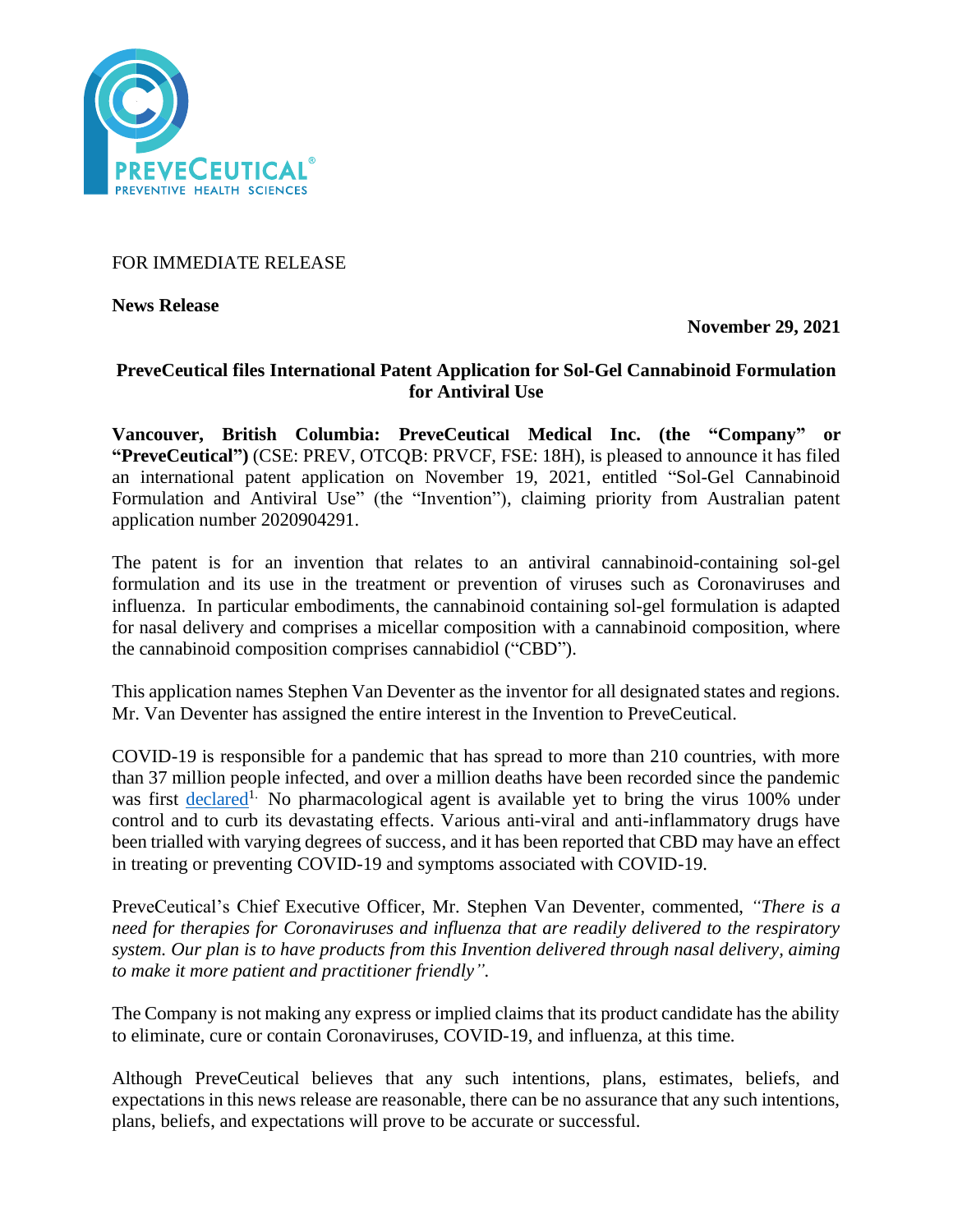

FOR IMMEDIATE RELEASE

**News Release** 

**November 29, 2021**

# **PreveCeutical files International Patent Application for Sol-Gel Cannabinoid Formulation for Antiviral Use**

**Vancouver, British Columbia: PreveCeutical Medical Inc. (the "Company" or "PreveCeutical")** (CSE: PREV, OTCQB: PRVCF, FSE: 18H), is pleased to announce it has filed an international patent application on November 19, 2021, entitled "Sol-Gel Cannabinoid Formulation and Antiviral Use" (the "Invention"), claiming priority from Australian patent application number 2020904291.

The patent is for an invention that relates to an antiviral cannabinoid-containing sol-gel formulation and its use in the treatment or prevention of viruses such as Coronaviruses and influenza. In particular embodiments, the cannabinoid containing sol-gel formulation is adapted for nasal delivery and comprises a micellar composition with a cannabinoid composition, where the cannabinoid composition comprises cannabidiol ("CBD").

This application names Stephen Van Deventer as the inventor for all designated states and regions. Mr. Van Deventer has assigned the entire interest in the Invention to PreveCeutical.

COVID-19 is responsible for a pandemic that has spread to more than 210 countries, with more than 37 million people infected, and over a million deaths have been recorded since the pandemic was first [declared](https://coronavirus.jhu.edu/map.html)<sup>1.</sup> No pharmacological agent is available yet to bring the virus 100% under control and to curb its devastating effects. Various anti-viral and anti-inflammatory drugs have been trialled with varying degrees of success, and it has been reported that CBD may have an effect in treating or preventing COVID-19 and symptoms associated with COVID-19.

PreveCeutical's Chief Executive Officer, Mr. Stephen Van Deventer, commented, *"There is a need for therapies for Coronaviruses and influenza that are readily delivered to the respiratory system. Our plan is to have products from this Invention delivered through nasal delivery, aiming to make it more patient and practitioner friendly".*

The Company is not making any express or implied claims that its product candidate has the ability to eliminate, cure or contain Coronaviruses, COVID-19, and influenza, at this time.

Although PreveCeutical believes that any such intentions, plans, estimates, beliefs, and expectations in this news release are reasonable, there can be no assurance that any such intentions, plans, beliefs, and expectations will prove to be accurate or successful.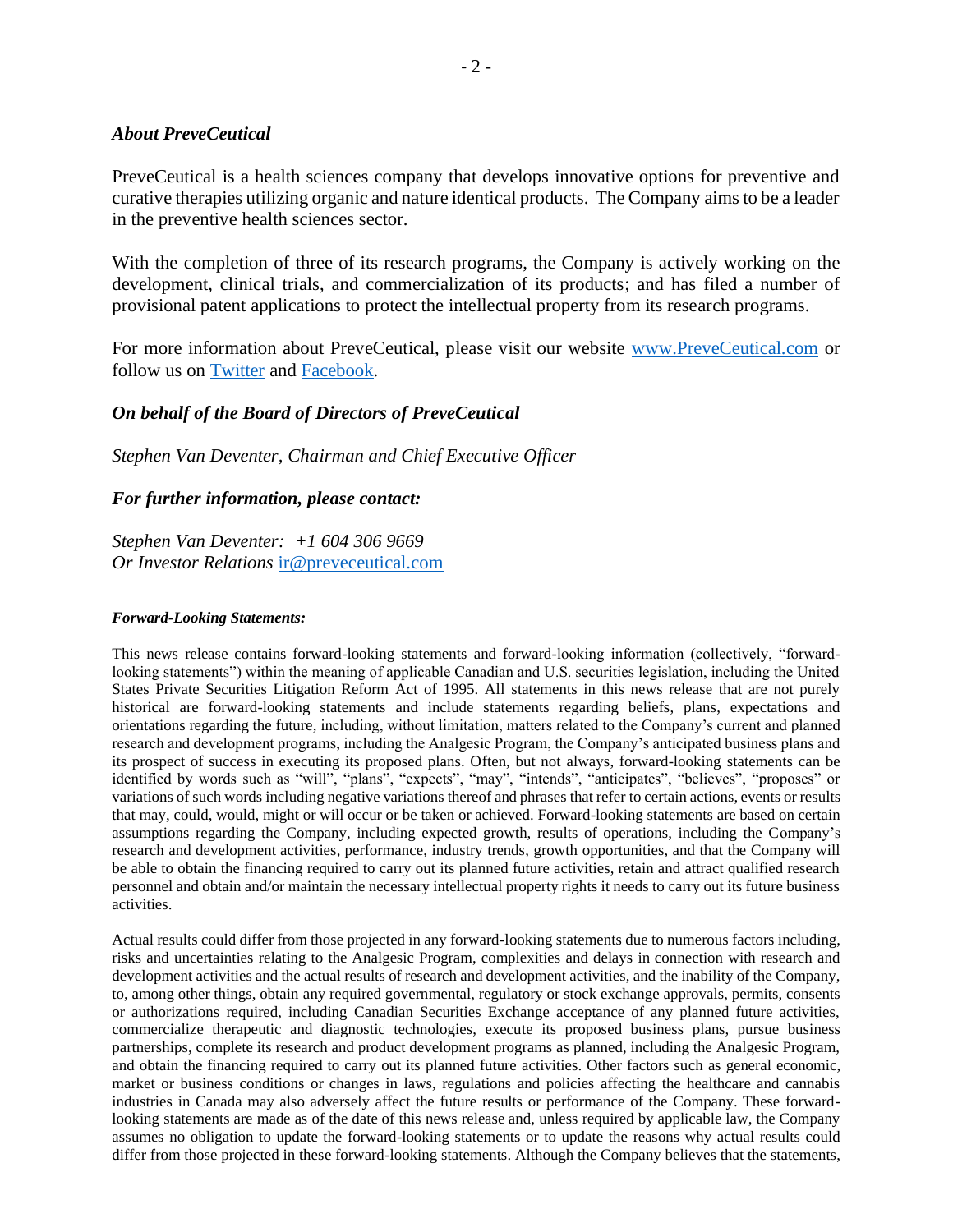#### *About PreveCeutical*

PreveCeutical is a health sciences company that develops innovative options for preventive and curative therapies utilizing organic and nature identical products. The Company aims to be a leader in the preventive health sciences sector.

With the completion of three of its research programs, the Company is actively working on the development, clinical trials, and commercialization of its products; and has filed a number of provisional patent applications to protect the intellectual property from its research programs.

For more information about PreveCeutical, please visit our website [www.PreveCeutical.com](http://www.preveceutical.com/) or follow us on [Twitter](http://twitter.com/PreveCeuticals) and [Facebook.](http://www.facebook.com/PreveCeutical)

## *On behalf of the Board of Directors of PreveCeutical*

*Stephen Van Deventer, Chairman and Chief Executive Officer*

## *For further information, please contact:*

*Stephen Van Deventer: +1 604 306 9669 Or Investor Relations* [ir@preveceutical.com](mailto:ir@preveceutical.com)

#### *Forward-Looking Statements:*

This news release contains forward-looking statements and forward-looking information (collectively, "forwardlooking statements") within the meaning of applicable Canadian and U.S. securities legislation, including the United States Private Securities Litigation Reform Act of 1995. All statements in this news release that are not purely historical are forward-looking statements and include statements regarding beliefs, plans, expectations and orientations regarding the future, including, without limitation, matters related to the Company's current and planned research and development programs, including the Analgesic Program, the Company's anticipated business plans and its prospect of success in executing its proposed plans. Often, but not always, forward-looking statements can be identified by words such as "will", "plans", "expects", "may", "intends", "anticipates", "believes", "proposes" or variations of such words including negative variations thereof and phrases that refer to certain actions, events or results that may, could, would, might or will occur or be taken or achieved. Forward-looking statements are based on certain assumptions regarding the Company, including expected growth, results of operations, including the Company's research and development activities, performance, industry trends, growth opportunities, and that the Company will be able to obtain the financing required to carry out its planned future activities, retain and attract qualified research personnel and obtain and/or maintain the necessary intellectual property rights it needs to carry out its future business activities.

Actual results could differ from those projected in any forward-looking statements due to numerous factors including, risks and uncertainties relating to the Analgesic Program, complexities and delays in connection with research and development activities and the actual results of research and development activities, and the inability of the Company, to, among other things, obtain any required governmental, regulatory or stock exchange approvals, permits, consents or authorizations required, including Canadian Securities Exchange acceptance of any planned future activities, commercialize therapeutic and diagnostic technologies, execute its proposed business plans, pursue business partnerships, complete its research and product development programs as planned, including the Analgesic Program, and obtain the financing required to carry out its planned future activities. Other factors such as general economic, market or business conditions or changes in laws, regulations and policies affecting the healthcare and cannabis industries in Canada may also adversely affect the future results or performance of the Company. These forwardlooking statements are made as of the date of this news release and, unless required by applicable law, the Company assumes no obligation to update the forward-looking statements or to update the reasons why actual results could differ from those projected in these forward-looking statements. Although the Company believes that the statements,